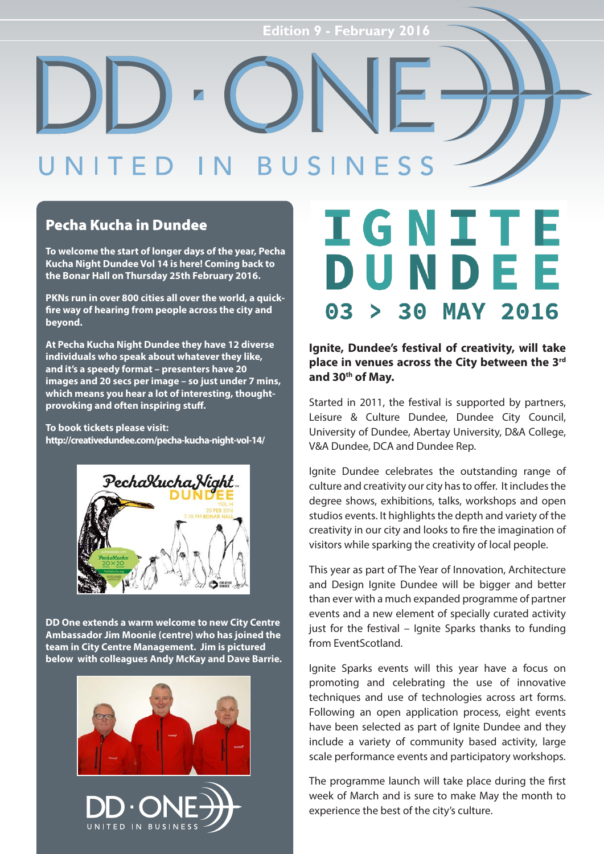#### SINE  $R<sub>1</sub>$  $S S$

### Pecha Kucha in Dundee

**To welcome the start of longer days of the year, Pecha Kucha Night Dundee Vol 14 is here! Coming back to the Bonar Hall on Thursday 25th February 2016.**

**PKNs run in over 800 cities all over the world, a quickfire way of hearing from people across the city and beyond.**

**At Pecha Kucha Night Dundee they have 12 diverse individuals who speak about whatever they like, and it's a speedy format – presenters have 20 images and 20 secs per image – so just under 7 mins, which means you hear a lot of interesting, thoughtprovoking and often inspiring stuff.**

**To book tickets please visit: http://creativedundee.com/pecha-kucha-night-vol-14/** 



**DD One extends a warm welcome to new City Centre Ambassador Jim Moonie (centre) who has joined the team in City Centre Management. Jim is pictured below with colleagues Andy McKay and Dave Barrie.**





### **IGNITE** DUNDEE 03 30 **MAY 2016**

### **Ignite, Dundee's festival of creativity, will take place in venues across the City between the 3rd and 30th of May.**

Started in 2011, the festival is supported by partners, Leisure & Culture Dundee, Dundee City Council, University of Dundee, Abertay University, D&A College, V&A Dundee, DCA and Dundee Rep.

Ignite Dundee celebrates the outstanding range of culture and creativity our city has to offer. It includes the degree shows, exhibitions, talks, workshops and open studios events. It highlights the depth and variety of the creativity in our city and looks to fire the imagination of visitors while sparking the creativity of local people.

This year as part of The Year of Innovation, Architecture and Design Janite Dundee will be bigger and better than ever with a much expanded programme of partner events and a new element of specially curated activity just for the festival – Ignite Sparks thanks to funding from EventScotland.

Ignite Sparks events will this year have a focus on promoting and celebrating the use of innovative techniques and use of technologies across art forms. Following an open application process, eight events have been selected as part of Ignite Dundee and they include a variety of community based activity, large scale performance events and participatory workshops.

The programme launch will take place during the first week of March and is sure to make May the month to experience the best of the city's culture.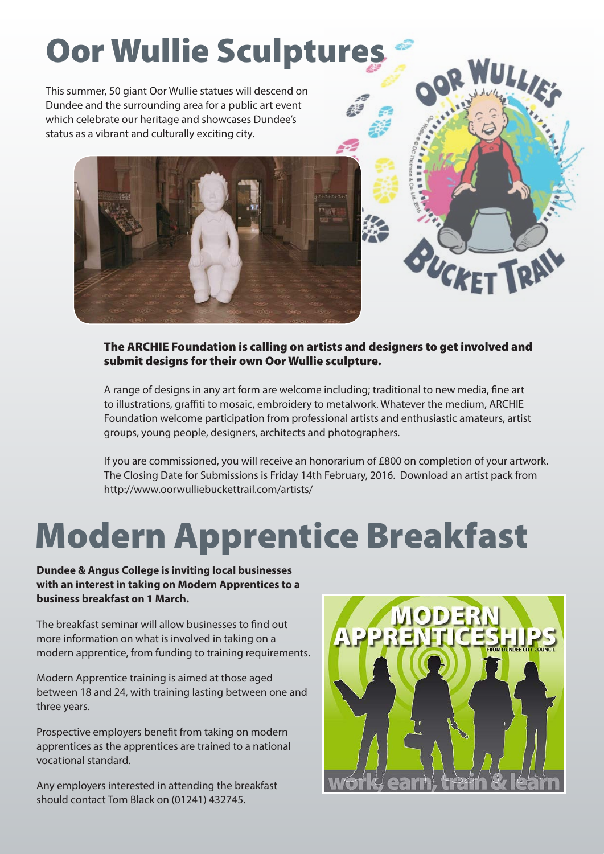# Oor Wullie Sculptures

This summer, 50 giant Oor Wullie statues will descend on Dundee and the surrounding area for a public art event which celebrate our heritage and showcases Dundee's status as a vibrant and culturally exciting city.



### The ARCHIE Foundation is calling on artists and designers to get involved and submit designs for their own Oor Wullie sculpture.

A range of designs in any art form are welcome including; traditional to new media, fine art to illustrations, graffiti to mosaic, embroidery to metalwork. Whatever the medium, ARCHIE Foundation welcome participation from professional artists and enthusiastic amateurs, artist groups, young people, designers, architects and photographers.

If you are commissioned, you will receive an honorarium of £800 on completion of your artwork. The Closing Date for Submissions is Friday 14th February, 2016. Download an artist pack from http://www.oorwulliebuckettrail.com/artists/

## Modern Apprentice Breakfast

**Dundee & Angus College is inviting local businesses with an interest in taking on Modern Apprentices to a business breakfast on 1 March.**

The breakfast seminar will allow businesses to find out more information on what is involved in taking on a modern apprentice, from funding to training requirements.

Modern Apprentice training is aimed at those aged between 18 and 24, with training lasting between one and three years.

Prospective employers benefit from taking on modern apprentices as the apprentices are trained to a national vocational standard.

Any employers interested in attending the breakfast should contact Tom Black on (01241) 432745.



BUCKET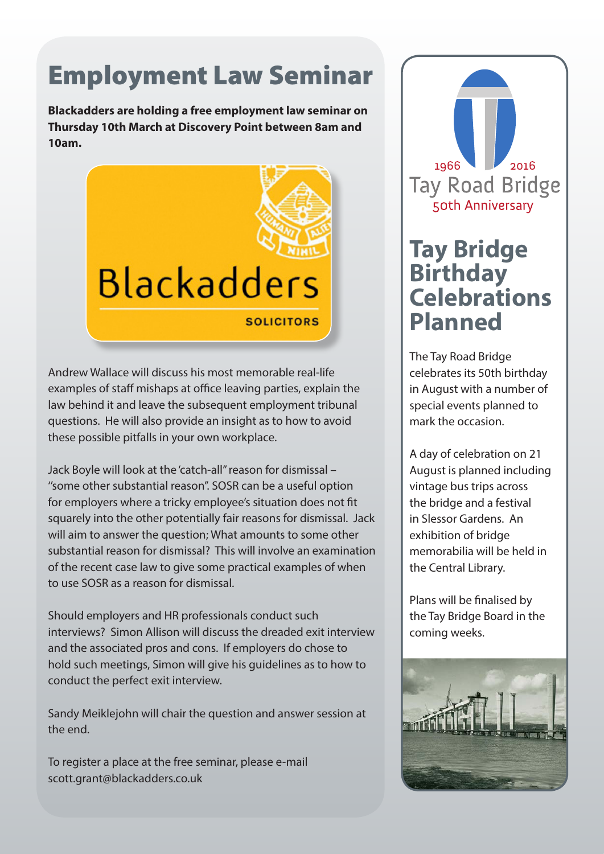## Employment Law Seminar

**Blackadders are holding a free employment law seminar on Thursday 10th March at Discovery Point between 8am and 10am.**



Andrew Wallace will discuss his most memorable real-life examples of staff mishaps at office leaving parties, explain the law behind it and leave the subsequent employment tribunal questions. He will also provide an insight as to how to avoid these possible pitfalls in your own workplace.

Jack Boyle will look at the 'catch-all'' reason for dismissal – ''some other substantial reason''. SOSR can be a useful option for employers where a tricky employee's situation does not fit squarely into the other potentially fair reasons for dismissal. Jack will aim to answer the question; What amounts to some other substantial reason for dismissal? This will involve an examination of the recent case law to give some practical examples of when to use SOSR as a reason for dismissal.

Should employers and HR professionals conduct such interviews? Simon Allison will discuss the dreaded exit interview and the associated pros and cons. If employers do chose to hold such meetings, Simon will give his guidelines as to how to conduct the perfect exit interview.

Sandy Meiklejohn will chair the question and answer session at the end.

To register a place at the free seminar, please e-mail scott.grant@blackadders.co.uk



### **Tay Bridge Birthday Celebrations Planned**

The Tay Road Bridge celebrates its 50th birthday in August with a number of special events planned to mark the occasion.

A day of celebration on 21 August is planned including vintage bus trips across the bridge and a festival in Slessor Gardens. An exhibition of bridge memorabilia will be held in the Central Library.

Plans will be finalised by the Tay Bridge Board in the coming weeks.

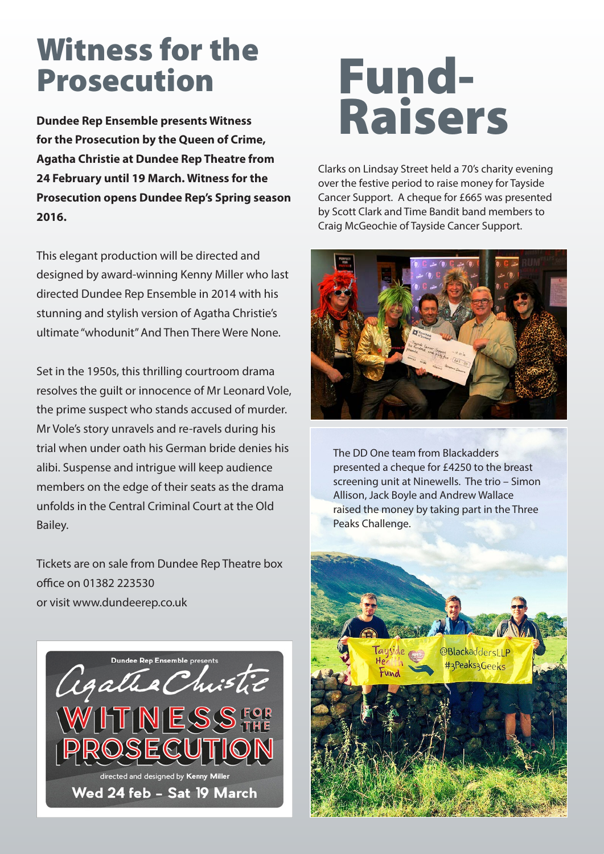## Witness for the Prosecution

**Dundee Rep Ensemble presents Witness for the Prosecution by the Queen of Crime, Agatha Christie at Dundee Rep Theatre from 24 February until 19 March. Witness for the Prosecution opens Dundee Rep's Spring season 2016.**

This elegant production will be directed and designed by award-winning Kenny Miller who last directed Dundee Rep Ensemble in 2014 with his stunning and stylish version of Agatha Christie's ultimate "whodunit" And Then There Were None.

Set in the 1950s, this thrilling courtroom drama resolves the guilt or innocence of Mr Leonard Vole, the prime suspect who stands accused of murder. Mr Vole's story unravels and re-ravels during his trial when under oath his German bride denies his alibi. Suspense and intrigue will keep audience members on the edge of their seats as the drama unfolds in the Central Criminal Court at the Old Bailey.

Tickets are on sale from Dundee Rep Theatre box office on 01382 223530 or visit www.dundeerep.co.uk



# Fund-Raisers

Clarks on Lindsay Street held a 70's charity evening over the festive period to raise money for Tayside Cancer Support. A cheque for £665 was presented by Scott Clark and Time Bandit band members to Craig McGeochie of Tayside Cancer Support.



The DD One team from Blackadders presented a cheque for £4250 to the breast screening unit at Ninewells. The trio – Simon Allison, Jack Boyle and Andrew Wallace raised the money by taking part in the Three Peaks Challenge.